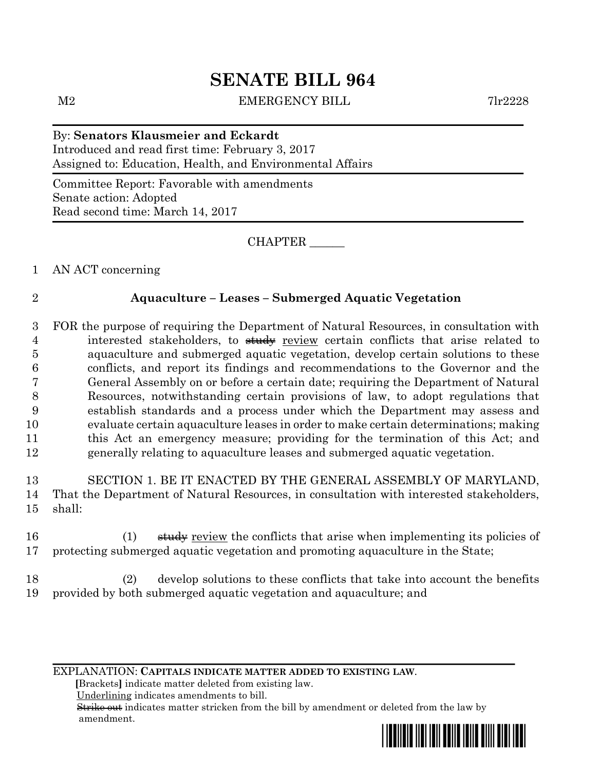# **SENATE BILL 964**

M2 EMERGENCY BILL 7lr2228

By: **Senators Klausmeier and Eckardt** Introduced and read first time: February 3, 2017 Assigned to: Education, Health, and Environmental Affairs

Committee Report: Favorable with amendments Senate action: Adopted Read second time: March 14, 2017

CHAPTER \_\_\_\_\_\_

1 AN ACT concerning

## 2 **Aquaculture – Leases – Submerged Aquatic Vegetation**

 FOR the purpose of requiring the Department of Natural Resources, in consultation with 4 interested stakeholders, to study review certain conflicts that arise related to aquaculture and submerged aquatic vegetation, develop certain solutions to these conflicts, and report its findings and recommendations to the Governor and the General Assembly on or before a certain date; requiring the Department of Natural Resources, notwithstanding certain provisions of law, to adopt regulations that establish standards and a process under which the Department may assess and evaluate certain aquaculture leases in order to make certain determinations; making this Act an emergency measure; providing for the termination of this Act; and generally relating to aquaculture leases and submerged aquatic vegetation.

13 SECTION 1. BE IT ENACTED BY THE GENERAL ASSEMBLY OF MARYLAND, 14 That the Department of Natural Resources, in consultation with interested stakeholders, 15 shall:

16 (1) study review the conflicts that arise when implementing its policies of 17 protecting submerged aquatic vegetation and promoting aquaculture in the State;

18 (2) develop solutions to these conflicts that take into account the benefits 19 provided by both submerged aquatic vegetation and aquaculture; and

EXPLANATION: **CAPITALS INDICATE MATTER ADDED TO EXISTING LAW**.

 **[**Brackets**]** indicate matter deleted from existing law.

Underlining indicates amendments to bill.

 Strike out indicates matter stricken from the bill by amendment or deleted from the law by amendment.